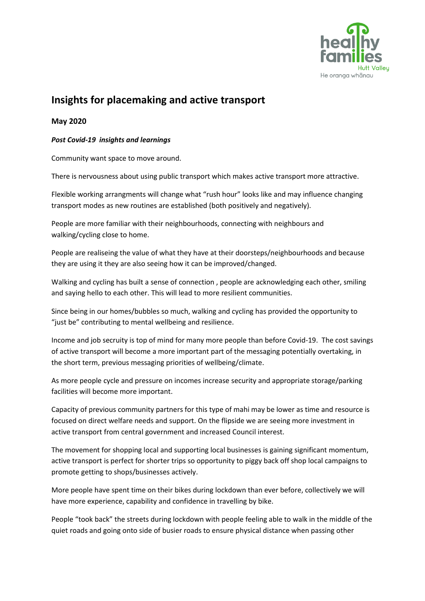

## **Insights for placemaking and active transport**

## **May 2020**

## *Post Covid-19 insights and learnings*

Community want space to move around.

There is nervousness about using public transport which makes active transport more attractive.

Flexible working arrangments will change what "rush hour" looks like and may influence changing transport modes as new routines are established (both positively and negatively).

People are more familiar with their neighbourhoods, connecting with neighbours and walking/cycling close to home.

People are realiseing the value of what they have at their doorsteps/neighbourhoods and because they are using it they are also seeing how it can be improved/changed.

Walking and cycling has built a sense of connection , people are acknowledging each other, smiling and saying hello to each other. This will lead to more resilient communities.

Since being in our homes/bubbles so much, walking and cycling has provided the opportunity to "just be" contributing to mental wellbeing and resilience.

Income and job secruity is top of mind for many more people than before Covid-19. The cost savings of active transport will become a more important part of the messaging potentially overtaking, in the short term, previous messaging priorities of wellbeing/climate.

As more people cycle and pressure on incomes increase security and appropriate storage/parking facilities will become more important.

Capacity of previous community partners for this type of mahi may be lower as time and resource is focused on direct welfare needs and support. On the flipside we are seeing more investment in active transport from central government and increased Council interest.

The movement for shopping local and supporting local businesses is gaining significant momentum, active transport is perfect for shorter trips so opportunity to piggy back off shop local campaigns to promote getting to shops/businesses actively.

More people have spent time on their bikes during lockdown than ever before, collectively we will have more experience, capability and confidence in travelling by bike.

People "took back" the streets during lockdown with people feeling able to walk in the middle of the quiet roads and going onto side of busier roads to ensure physical distance when passing other